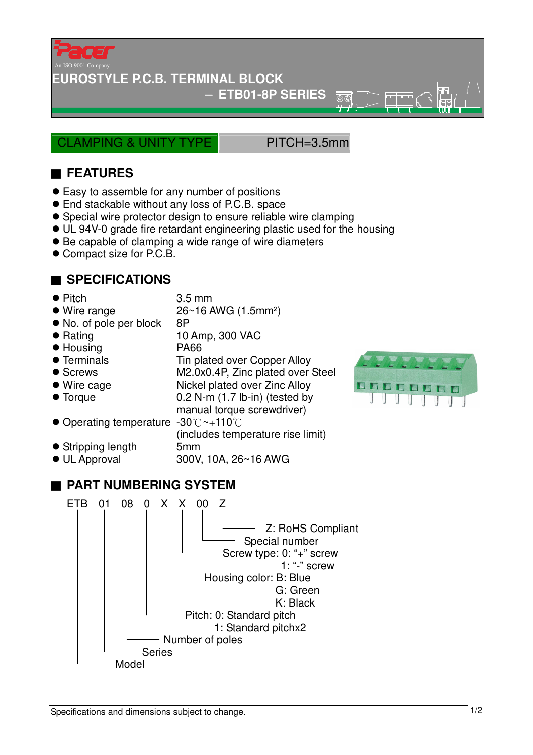

**EUROSTYLE P.C.B. TERMINAL BLOCK**

− **ETB01-8P SERIES** 

CLAMPING & UNITY TYPE PITCH=3.5mm

 $\overline{\textcircled{r}}$ ₩

## ■ **FEATURES**

- Easy to assemble for any number of positions
- End stackable without any loss of P.C.B. space
- Special wire protector design to ensure reliable wire clamping
- UL 94V-0 grade fire retardant engineering plastic used for the housing
- Be capable of clamping a wide range of wire diameters
- Compact size for P.C.B.

## ■ **SPECIFICATIONS**

- Pitch 3.5 mm
- $\bullet$  Wire range  $26~16$  AWG (1.5mm<sup>2</sup>)
- No. of pole per block 8P
- Rating 10 Amp, 300 VAC
- Housing PA66
- Terminals Tin plated over Copper Alloy
- Screws M2.0x0.4P, Zinc plated over Steel
- 
- 
- Wire cage Nickel plated over Zinc Alloy ● Torque 0.2 N-m (1.7 lb-in) (tested by
	- manual torque screwdriver)
- Operating temperature -30°C~+110°C
- (includes temperature rise limit) Stripping length 5mm
- UL Approval 300V, 10A, 26~16 AWG

## ■ **PART NUMBERING SYSTEM**